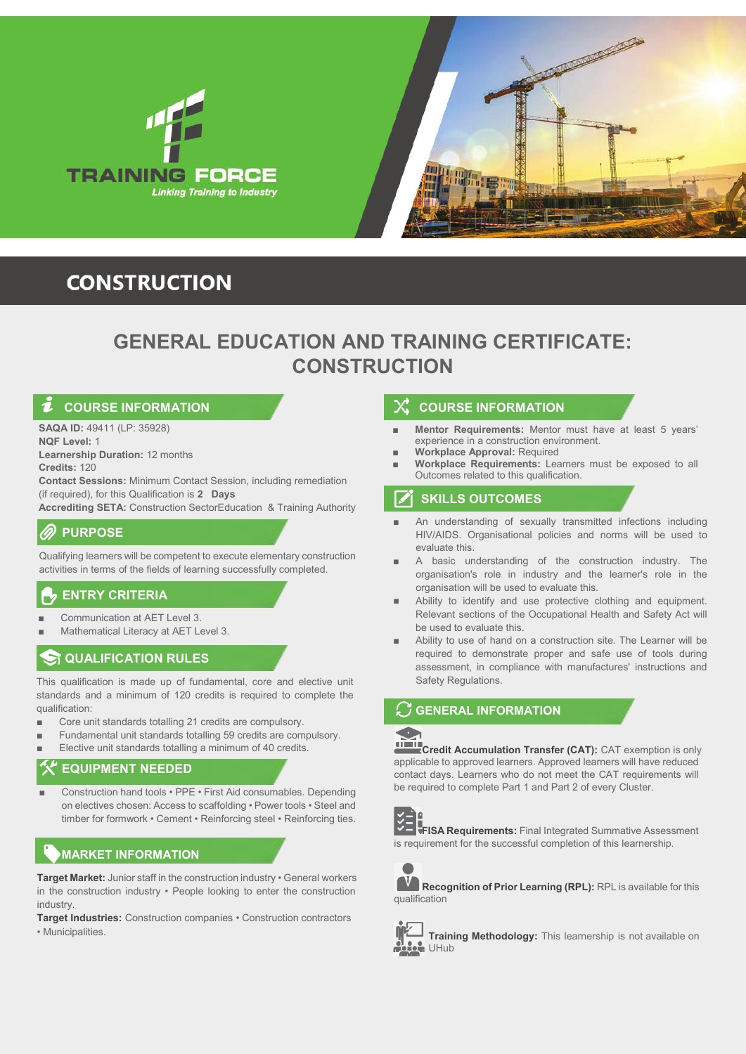



# **CONSTRUCTION**

# **GENERAL EDUCATION AND TRAINING CERTIFICATE: CONSTRUCTION**

**SAQA ID:** 49411 (LP: 35928)

**NQF Level:** 1

**Learnership Duration: 12 months Credits:** 120

**Contact Sessions: Minimum Contact Session, including remediation** (if required), for this Qualification is 28 Days

**Accrediting SETA: Construction SectorEducation & Training Authority** 

## **PURPOSE**

Qualifying learners will be competent to execute elementary construction activities in terms of the fields of learning successfully completed.

# **ENTRY CRITERIA**

- Communication at AET Level 3.
- Mathematical Literacy at AET Level 3.

## **QUALIFICATION RULES**

This qualification is made up of fundamental, core and elective unit standards and a minimum of 120 credits is required to complete the qualification:

- Core unit standards totalling 21 credits are compulsory.
- Fundamental unit standards totalling 59 credits are compulsory.
- Elective unit standards totalling a minimum of 40 credits.

## **EQUIPMENT NEEDED**

Construction hand tools • PPE • First Aid consumables. Depending on electives chosen: Access to scaffolding • Power tools • Steel and timber for formwork • Cement • Reinforcing steel • Reinforcing ties.

# **MARKET INFORMATION**

**Target Market:** Junior staff in the construction industry • General workers in the construction industry • People looking to enter the construction industry.

**Target Industries:** Construction companies • Construction contractors • Municipalities

### **COURSE INFORMATION COURSE INFORMATION**

- **Mentor Requirements:** Mentor must have at least 5 years' experience in a construction environment.
- **Workplace Approval: Required**
- **Workplace Requirements:** Learners must be exposed to all Outcomes related to this qualification.

### $\boldsymbol{\triangledown}$ **SKILLS OUTCOMES**

- An understanding of sexually transmitted infections including HIV/AIDS. Organisational policies and norms will be used to evaluate this.
- A basic understanding of the construction industry. The organisation's role in industry and the learner's role in the organisation will be used to evaluate this.
- Ability to identify and use protective clothing and equipment. Relevant sections of the Occupational Health and Safety Act will be used to evaluate this. ■
- Ability to use of hand on a construction site. The Learner will be required to demonstrate proper and safe use of tools during assessment, in compliance with manufactures' instructions and Safety Regulations. ■

### **GENERAL INFORMATION**

**Credit Accumulation Transfer (CAT):** CAT exemption is only applicable to approved learners. Approved learners will have reduced contact days. Learners who do not meet the CAT requirements will be required to complete Part 1 and Part 2 of every Cluster.



**FISA Requirements:** Final Integrated Summative Assessment is requirement for the successful completion of this learnership.



**Recognition of Prior Learning (RPL):** RPL is available for this qualification



**Training Methodology:** This learnership is not available on **M** UHub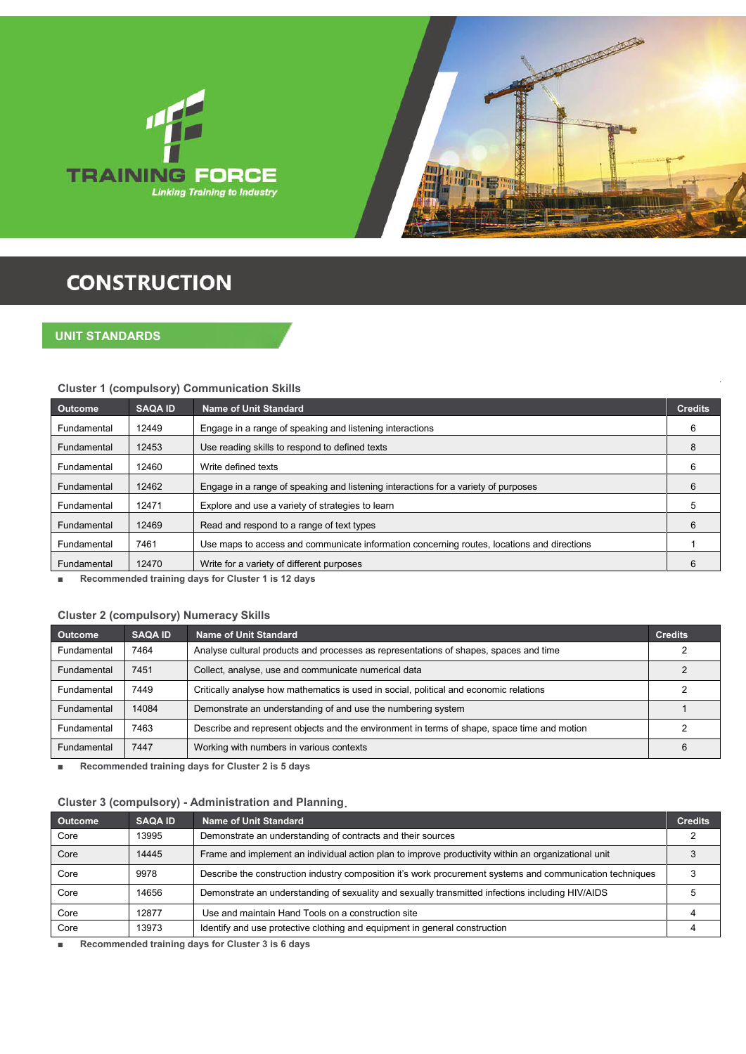



# **CONSTRUCTION**

### **UNIT STANDARDS**

### **Cluster 1 (compulsory) Communication Skills**

| <b>Outcome</b> | <b>SAQA ID</b> | <b>Name of Unit Standard</b>                                                               | <b>Credits</b> |
|----------------|----------------|--------------------------------------------------------------------------------------------|----------------|
| Fundamental    | 12449          | Engage in a range of speaking and listening interactions                                   | 6              |
| Fundamental    | 12453          | Use reading skills to respond to defined texts                                             | 8              |
| Fundamental    | 12460          | Write defined texts                                                                        | 6              |
| Fundamental    | 12462          | Engage in a range of speaking and listening interactions for a variety of purposes         | 6              |
| Fundamental    | 12471          | Explore and use a variety of strategies to learn                                           | 5              |
| Fundamental    | 12469          | Read and respond to a range of text types                                                  | 6              |
| Fundamental    | 7461           | Use maps to access and communicate information concerning routes, locations and directions |                |
| Fundamental    | 12470          | Write for a variety of different purposes                                                  | 6              |
|                |                |                                                                                            |                |

■ **Recommended training days for Cluster 1 is 12 days**

### **Cluster 2 (compulsory) Numeracy Skills**

| <b>Outcome</b> | <b>SAQA ID</b> | Name of Unit Standard                                                                       | <b>Credits</b> |
|----------------|----------------|---------------------------------------------------------------------------------------------|----------------|
| Fundamental    | 7464           | Analyse cultural products and processes as representations of shapes, spaces and time       |                |
| Fundamental    | 7451           | Collect, analyse, use and communicate numerical data                                        |                |
| Fundamental    | 7449           | Critically analyse how mathematics is used in social, political and economic relations      |                |
| Fundamental    | 14084          | Demonstrate an understanding of and use the numbering system                                |                |
| Fundamental    | 7463           | Describe and represent objects and the environment in terms of shape, space time and motion |                |
| Fundamental    | 7447           | Working with numbers in various contexts                                                    | 6              |

■ **Recommended training days for Cluster 2 is 5 days**

### **Cluster 3 (compulsory) - Administration and Planning .**

| <b>Outcome</b> | <b>SAQA ID</b> | Name of Unit Standard                                                                                     | <b>Credits</b> |
|----------------|----------------|-----------------------------------------------------------------------------------------------------------|----------------|
| Core           | 13995          | Demonstrate an understanding of contracts and their sources                                               |                |
| Core           | 14445          | Frame and implement an individual action plan to improve productivity within an organizational unit       |                |
| Core           | 9978           | Describe the construction industry composition it's work procurement systems and communication techniques |                |
| Core           | 14656          | Demonstrate an understanding of sexuality and sexually transmitted infections including HIV/AIDS          |                |
| Core           | 12877          | Use and maintain Hand Tools on a construction site                                                        |                |
| Core           | 13973          | Identify and use protective clothing and equipment in general construction                                |                |

■ **Recommended training days for Cluster 3 is 6 days**